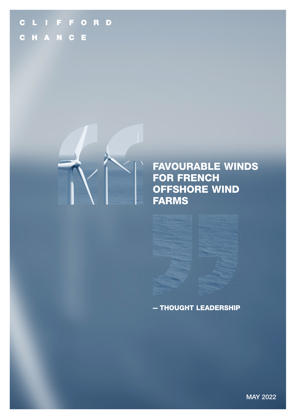# CLIFFORD C H A N C E



# FAVOURABLE WINDS FOR FRENCH OFFSHORE WIND FARMS

## - THOUGHT LEADERSHIP

MAY 2022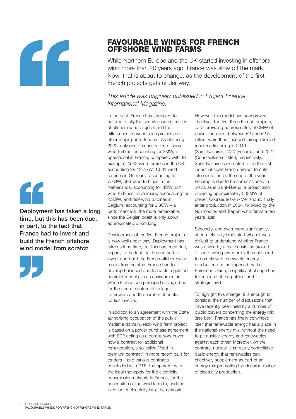



Deployment has taken a long time, but this has been due, in part, to the fact that France had to invent and build the French offshore wind model from scratch



## FAVOURABLE WINDS FOR FRENCH OFFSHORE WIND FARMS

While Northern Europe and the UK started investing in offshore wind more than 20 years ago, France was slow off the mark. Now, that is about to change, as the development of the first French projects gets under way.

### *This article was originally published in Project Finance International Magazine.*

In the past, France has struggled to anticipate fully the specific characteristics of offshore wind projects and the differences between such projects and other major public tenders. As of spring 2022, only one demonstration offshore wind turbine, accounting for 2MW, is operational in France, compared with, for example, 2,542 wind turbines in the UK, accounting for 12.7GW; 1,501 wind turbines in Germany, accounting for 7.7GW; 599 wind turbines in the Netherlands, accounting for 3GW; 631 wind turbines in Denmark, accounding for 2.3GW; and 399 wind turbines in Belgium, accounting for 2.3GW – a performance all the more remarkable, since the Belgian coast is only about approximately 65km long.

Development of the first French projects is now well under way. Deployment has taken a long time, but this has been due, in part, to the fact that France had to invent and build the French offshore wind model from scratch. France had to develop balanced and fundable regulated contract models, in an environment in which France can perhaps be singled out for the specific nature of its legal framework and the number of public parties involved.

In addition to an agreement with the State authorising occupation of the public maritime domain, each wind farm project is based on a power purchase agreement with EDF acting as a compulsory buyer – now a contract for additional remuneration, a so-called "feed-in premium contract" in more recent calls for tenders – and various contracts concluded with RTE, the operator with the legal monopoly for the electricity transmission network in France, for the connection of the wind farm to, and the injection of electricity into, the network.

However, this model has now proved effective. The first three French projects, each providing approximately 500MW of power for a cost between €2 and €2.5 billion, were thus financed through limited recourse financing in 2019 (Saint-Nazaire), 2020 (Fécamp) and 2021 (Courseulles-sur-Mer), respectively. Saint-Nazaire is expected to be the first industrial-scale French project to enter into operation by the end of the year. Fécamp is due to be commissioned in 2023, as is Saint-Brieuc, a project also providing approximately 500MW of power. Courseulles-sur-Mer should finally enter production in 2024, followed by the Noirmoutier and Tréport wind farms a few years later.

Secondly, and even more significantly, after a relatively timid start when it was difficult to understand whether France was driven by a real conviction around offshore wind power or by the sole need to comply with renewable energy production quotas imposed by the European Union, a significant change has taken place at the political and strategic level.

To highlight this change, it is enough to consider the number of discussions that have recently been held by a number of public players concerning the energy mix (see box). France has finally convinced itself that renewable energy has a place in the national energy mix, without the need to pit nuclear energy and renewables against each other. Moreover, on the contrary, nuclear is an easily controllable basic energy that renewables can effectively supplement as part of an energy mix promoting the decarbonisation of electricity production.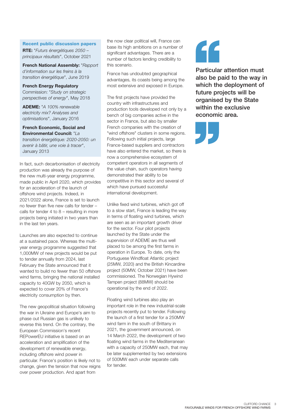#### Recent public discussion papers

**RTE:** "*Futurs énergétiques 2050 – principaux résultats*", October 2021

**French National Assembly:** "*Rapport d'information sur les freins à la transition énergétique*", June 2019

**French Energy Regulatory**  Commission: "*Study on strategic perspectives of energy*", May 2018

**ADEME:** "*A 100% renewable electricity mix? Analyses and optimisations*", January 2016

**French Economic, Social and Environmental Council:** "*La transition énergétique: 2020-2050: un avenir à bâtir, une voie à tracer*", January 2013

In fact, such decarbonisation of electricity production was already the purpose of the new multi-year energy programme, made public in April 2020, which provides for an acceleration of the launch of offshore wind projects. Indeed, in 2021/2022 alone, France is set to launch no fewer than five new calls for tender – calls for tender 4 to 8 – resulting in more projects being initiated in two years than in the last ten years.

Launches are also expected to continue at a sustained pace. Whereas the multiyear energy programme suggested that 1,000MW of new projects would be put to tender annually from 2024, last February the State announced that it wanted to build no fewer than 50 offshore wind farms, bringing the national installed capacity to 40GW by 2050, which is expected to cover 20% of France's electricity consumption by then.

The new geopolitical situation following the war in Ukraine and Europe's aim to phase out Russian gas is unlikely to reverse this trend. On the contrary, the European Commission's recent REPowerEU initiative is based on an acceleration and amplification of the development of renewable energy, including offshore wind power in particular. France's position is likely not to change, given the tension that now reigns over power production. And apart from

the now clear political will, France can base its high ambitions on a number of significant advantages. There are a number of factors lending credibility to this scenario.

France has undoubted geographical advantages, its coasts being among the most extensive and exposed in Europe.

The first projects have provided the country with infrastructures and production tools developed not only by a bench of big companies active in the sector in France, but also by smaller French companies with the creation of "wind offshore" clusters in some regions. Following such initial projects, large France-based suppliers and contractors have also entered the market, so there is now a comprehensive ecosystem of competent operators in all segments of the value chain, such operators having demonstrated their ability to be competitive in this sector and several of which have pursued successful international development.

Unlike fixed wind turbines, which got off to a slow start, France is leading the way in terms of floating wind turbines, which are seen as an important growth driver for the sector. Four pilot projects launched by the State under the supervision of ADEME are thus well placed to be among the first farms in operation in Europe. To date, only the Portuguese Windfloat Atlantic project (25MW, 2020) and the British Kincardine project (50MW, October 2021) have been commissioned. The Norwegian Hywind Tampen project (88MW) should be operational by the end of 2022.

Floating wind turbines also play an important role in the new industrial-scale projects recently put to tender. Following the launch of a first tender for a 250MW wind farm in the south of Brittany in 2021, the government announced, on 14 March 2022, the development of two floating wind farms in the Mediterranean with a capacity of 250MW each, that may be later supplemented by two extensions of 500MW each under separate calls for tender.



Particular attention must also be paid to the way in which the deployment of future projects will be organised by the State within the exclusive economic area.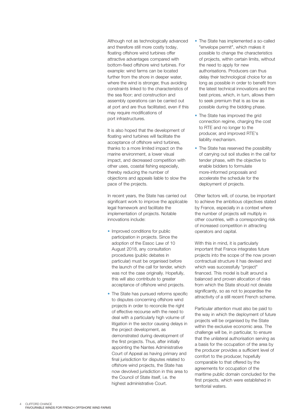Although not as technologically advanced and therefore still more costly today, floating offshore wind turbines offer attractive advantages compared with bottom-fixed offshore wind turbines. For example: wind farms can be located further from the shore in deeper water, where the wind is stronger, thus avoiding constraints linked to the characteristics of the sea floor; and construction and assembly operations can be carried out at port and are thus facilitated, even if this may require modifications of port infrastructures.

It is also hoped that the development of floating wind turbines will facilitate the acceptance of offshore wind turbines, thanks to a more limited impact on the marine environment, a lower visual impact, and decreased competition with other uses, coastal fishing especially, thereby reducing the number of objections and appeals liable to slow the pace of the projects.

In recent years, the State has carried out significant work to improve the applicable legal framework and facilitate the implementation of projects. Notable innovations include: • Improved conditions for public

- participation in projects. Since the adoption of the Essoc Law of 10 August 2018, any consultation procedures (public debates in particular) must be organised before the launch of the call for tender, which was not the case originally. Hopefully, this will also contribute to greater acceptance of offshore wind projects.
- The State has pursued reforms specific to disputes concerning offshore wind projects in order to reconcile the right of effective recourse with the need to deal with a particularly high volume of litigation in the sector causing delays in the project development, as demonstrated during development of the first projects. Thus, after initially appointing the Nantes Administrative Court of Appeal as having primary and final jurisdiction for disputes related to offshore wind projects, the State has now devolved jurisdiction in this area to the Council of State itself, i.e. the highest administrative Court.
- The State has implemented a so-called "envelope permit", which makes it possible to change the characteristics of projects, within certain limits, without the need to apply for new authorisations. Producers can thus delay their technological choice for as long as possible in order to benefit from the latest technical innovations and the best prices, which, in turn, allows them to seek premium that is as low as possible during the bidding phase.
- The State has improved the grid connection regime, charging the cost to RTE and no longer to the producer, and improved RTE's liability mechanism.
- The State has reserved the possibility of carrying out soil studies in the call for tender phase, with the objective to enable bidders to formulate more-informed proposals and accelerate the schedule for the deployment of projects.

Other factors will, of course, be important to achieve the ambitious objectives stated by France, especially in a context where the number of projects will multiply in other countries, with a corresponding risk of increased competition in attracting operators and capital.

With this in mind, it is particularly important that France integrates future projects into the scope of the now proven contractual structure it has devised and which was successfully "project" financed. This model is built around a balanced and proven allocation of risks from which the State should not deviate significantly, so as not to jeopardise the attractivity of a still recent French scheme.

Particular attention must also be paid to the way in which the deployment of future projects will be organised by the State within the exclusive economic area. The challenge will be, in particular, to ensure that the unilateral authorisation serving as a basis for the occupation of the area by the producer provides a sufficient level of comfort to the producer, hopefully comparable to that offered by the agreements for occupation of the maritime public domain concluded for the first projects, which were established in territorial waters.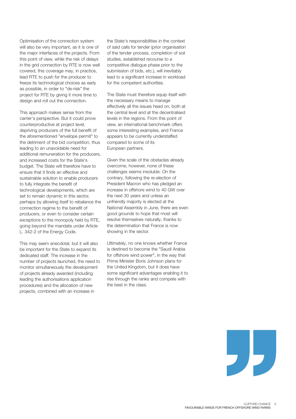Optimisation of the connection system will also be very important, as it is one of the major interfaces of the projects. From this point of view, while the risk of delays in the grid connection by RTE is now well covered, this coverage may, in practice, lead RTE to push for the producer to freeze its technological choices as early as possible, in order to "de-risk" the project for RTE by giving it more time to design and roll out the connection.

This approach makes sense from the carrier's perspective. But it could prove counterproductive at project level, depriving producers of the full benefit of the aforementioned "envelope permit" to the detriment of the bid competition, thus leading to an unavoidable need for additional remuneration for the producers, and increased costs for the State's budget. The State will therefore have to ensure that it finds an effective and sustainable solution to enable producers to fully integrate the benefit of technological developments, which are set to remain dynamic in this sector, perhaps by allowing itself to rebalance the connection regime to the benefit of producers, or even to consider certain exceptions to the monopoly held by RTE, going beyond the mandate under Article L. 342-2 of the Energy Code.

This may seem anecdotal, but it will also be important for the State to expand its dedicated staff. The increase in the number of projects launched, the need to monitor simultaneously the development of projects already awarded (including leading the authorisations application procedures) and the allocation of new projects, combined with an increase in

the State's responsibilities in the context of said calls for tender (prior organisation of the tender process, completion of soil studies, established recourse to a competitive dialogue phase prior to the submission of bids, etc.), will inevitably lead to a significant increase in workload for the competent authorities.

The State must therefore equip itself with the necessary means to manage effectively all the issues head on, both at the central level and at the decentralised levels in the regions. From this point of view, an international benchmark offers some interesting examples, and France appears to be currently understaffed compared to some of its European partners.

Given the scale of the obstacles already overcome, however, none of these challenges seems insoluble. On the contrary, following the re-election of President Macron who has pledged an increase in offshore wind to 40 GW over the next 30 years and unless an unfriendly majority is elected at the National Assembly in June, there are even good grounds to hope that most will resolve themselves naturally, thanks to the determination that France is now showing in the sector.

Ultimately, no one knows whether France is destined to become the "Saudi Arabia for offshore wind power", in the way that Prime Minister Boris Johnson plans for the United Kingdom, but it does have some significant advantages enabling it to rise through the ranks and compete with the best in the class.

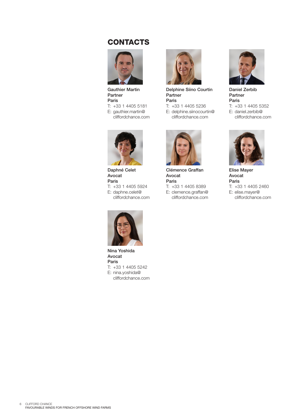# **CONTACTS**



Gauthier Martin Partner Paris T: +33 1 4405 5181

E: gauthier.martin@ cliffordchance.com



Daphné Celet Avocat Paris T: +33 1 4405 5924 E: daphne.celet@ cliffordchance.com



Nina Yoshida Avocat Paris T: +33 1 4405 5242 E: nina.yoshida@ cliffordchance.com



Delphine Siino Courtin Partner Paris T: +33 1 4405 5236

E: delphine.siinocourtin@ cliffordchance.com



Clémence Graffan Avocat Paris T: +33 1 4405 8389 E: clemence.graffan@ cliffordchance.com



Daniel Zerbib Partner Paris T: +33 1 4405 5352 E: daniel.zerbib@ cliffordchance.com



Elise Mayer Avocat Paris T: +33 1 4405 2460 E: elise.mayer@ cliffordchance.com